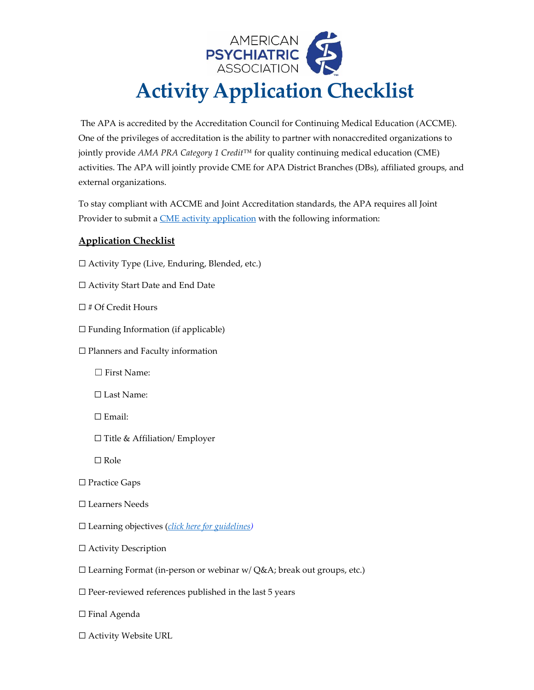

The APA is accredited by the Accreditation Council for Continuing Medical Education (ACCME). One of the privileges of accreditation is the ability to partner with nonaccredited organizations to jointly provide *AMA PRA Category 1 Credit™* for quality continuing medical education (CME) activities. The APA will jointly provide CME for APA District Branches (DBs), affiliated groups, and external organizations.

To stay compliant with ACCME and Joint Accreditation standards, the APA requires all Joint Provider to submit a **CME** activity application with the following information:

## **Application Checklist**

- ☐ Activity Type (Live, Enduring, Blended, etc.)
- ☐ Activity Start Date and End Date
- ☐ # Of Credit Hours
- $\Box$  Funding Information (if applicable)
- ☐ Planners and Faculty information
	- ☐ First Name:
	- ☐ Last Name:
	- ☐ Email:
	- ☐ Title & Affiliation/ Employer

☐ Role

- ☐ Practice Gaps
- ☐ Learners Needs
- ☐ Learning objectives (*[click here for guidelines\)](https://media.ceforms.com/templates/apa/supp_forms/Developing_Learning_Objectives_APAv102021.pdf)*
- ☐ Activity Description
- ☐ Learning Format (in-person or webinar w/ Q&A; break out groups, etc.)
- $\square$  Peer-reviewed references published in the last 5 years
- ☐ Final Agenda
- ☐ Activity Website URL